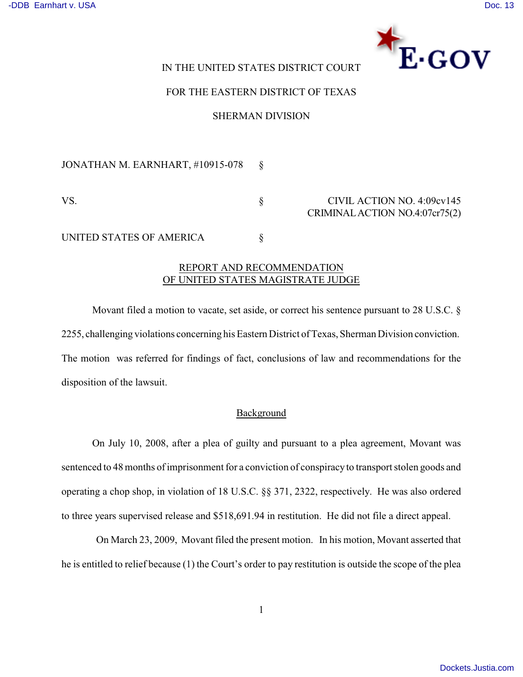

# IN THE UNITED STATES DISTRICT COURT

### FOR THE EASTERN DISTRICT OF TEXAS

### SHERMAN DIVISION

JONATHAN M. EARNHART, #10915-078 §

VS. S CIVIL ACTION NO. 4:09cv145 CRIMINAL ACTION NO.4:07cr75(2)

UNITED STATES OF AMERICA  $\S$ 

# REPORT AND RECOMMENDATION OF UNITED STATES MAGISTRATE JUDGE

Movant filed a motion to vacate, set aside, or correct his sentence pursuant to 28 U.S.C. § 2255, challenging violations concerning his Eastern District of Texas, Sherman Division conviction. The motion was referred for findings of fact, conclusions of law and recommendations for the disposition of the lawsuit.

### Background

On July 10, 2008, after a plea of guilty and pursuant to a plea agreement, Movant was sentenced to 48 months of imprisonment for a conviction of conspiracy to transport stolen goods and operating a chop shop, in violation of 18 U.S.C. §§ 371, 2322, respectively. He was also ordered to three years supervised release and \$518,691.94 in restitution. He did not file a direct appeal.

 On March 23, 2009, Movant filed the present motion. In his motion, Movant asserted that he is entitled to relief because (1) the Court's order to pay restitution is outside the scope of the plea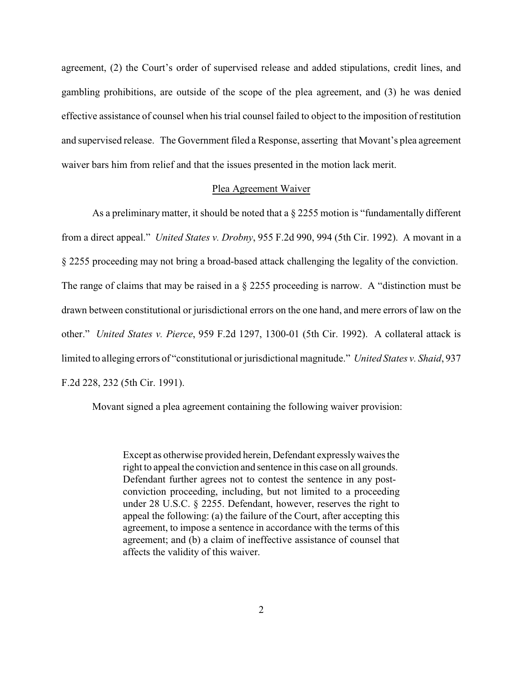agreement, (2) the Court's order of supervised release and added stipulations, credit lines, and gambling prohibitions, are outside of the scope of the plea agreement, and (3) he was denied effective assistance of counsel when his trial counsel failed to object to the imposition of restitution and supervised release. The Government filed a Response, asserting that Movant's plea agreement waiver bars him from relief and that the issues presented in the motion lack merit.

### Plea Agreement Waiver

As a preliminary matter, it should be noted that a  $\S 2255$  motion is "fundamentally different from a direct appeal." *United States v. Drobny*, 955 F.2d 990, 994 (5th Cir. 1992). A movant in a § 2255 proceeding may not bring a broad-based attack challenging the legality of the conviction. The range of claims that may be raised in a § 2255 proceeding is narrow. A "distinction must be drawn between constitutional or jurisdictional errors on the one hand, and mere errors of law on the other." *United States v. Pierce*, 959 F.2d 1297, 1300-01 (5th Cir. 1992). A collateral attack is limited to alleging errors of "constitutional or jurisdictional magnitude." *United States v. Shaid*, 937 F.2d 228, 232 (5th Cir. 1991).

Movant signed a plea agreement containing the following waiver provision:

Except as otherwise provided herein, Defendant expressly waives the right to appeal the conviction and sentence in this case on all grounds. Defendant further agrees not to contest the sentence in any postconviction proceeding, including, but not limited to a proceeding under 28 U.S.C. § 2255. Defendant, however, reserves the right to appeal the following: (a) the failure of the Court, after accepting this agreement, to impose a sentence in accordance with the terms of this agreement; and (b) a claim of ineffective assistance of counsel that affects the validity of this waiver.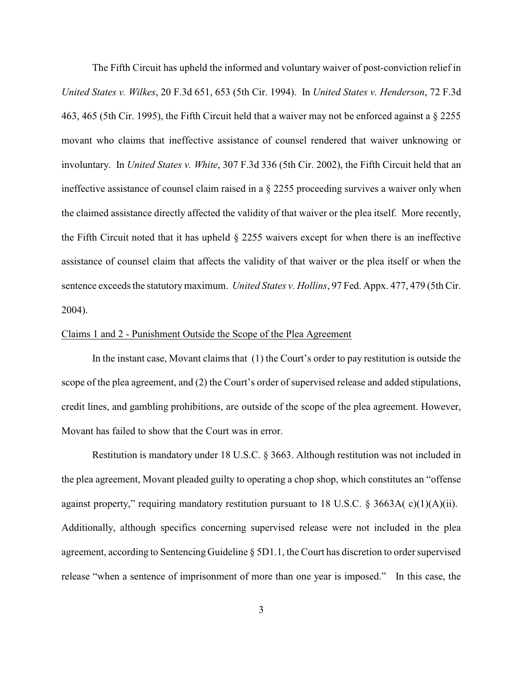The Fifth Circuit has upheld the informed and voluntary waiver of post-conviction relief in *United States v. Wilkes*, 20 F.3d 651, 653 (5th Cir. 1994). In *United States v. Henderson*, 72 F.3d 463, 465 (5th Cir. 1995), the Fifth Circuit held that a waiver may not be enforced against a § 2255 movant who claims that ineffective assistance of counsel rendered that waiver unknowing or involuntary. In *United States v. White*, 307 F.3d 336 (5th Cir. 2002), the Fifth Circuit held that an ineffective assistance of counsel claim raised in a § 2255 proceeding survives a waiver only when the claimed assistance directly affected the validity of that waiver or the plea itself. More recently, the Fifth Circuit noted that it has upheld § 2255 waivers except for when there is an ineffective assistance of counsel claim that affects the validity of that waiver or the plea itself or when the sentence exceeds the statutory maximum. *United States v. Hollins*, 97 Fed. Appx. 477, 479 (5th Cir. 2004).

### Claims 1 and 2 - Punishment Outside the Scope of the Plea Agreement

In the instant case, Movant claims that (1) the Court's order to pay restitution is outside the scope of the plea agreement, and (2) the Court's order of supervised release and added stipulations, credit lines, and gambling prohibitions, are outside of the scope of the plea agreement. However, Movant has failed to show that the Court was in error.

Restitution is mandatory under 18 U.S.C. § 3663. Although restitution was not included in the plea agreement, Movant pleaded guilty to operating a chop shop, which constitutes an "offense against property," requiring mandatory restitution pursuant to 18 U.S.C. § 3663A( $c$ )(1)(A)(ii). Additionally, although specifics concerning supervised release were not included in the plea agreement, according to Sentencing Guideline § 5D1.1, the Court has discretion to order supervised release "when a sentence of imprisonment of more than one year is imposed." In this case, the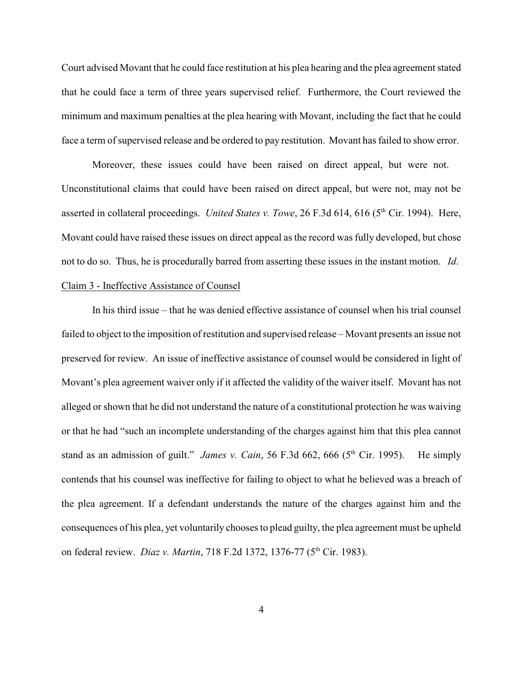Court advised Movant that he could face restitution at his plea hearing and the plea agreement stated that he could face a term of three years supervised relief. Furthermore, the Court reviewed the minimum and maximum penalties at the plea hearing with Movant, including the fact that he could face a term of supervised release and be ordered to pay restitution. Movant has failed to show error.

Moreover, these issues could have been raised on direct appeal, but were not. Unconstitutional claims that could have been raised on direct appeal, but were not, may not be asserted in collateral proceedings. *United States v. Towe*, 26 F.3d 614, 616 (5<sup>th</sup> Cir. 1994). Here, Movant could have raised these issues on direct appeal as the record was fully developed, but chose not to do so. Thus, he is procedurally barred from asserting these issues in the instant motion. *Id*. Claim 3 - Ineffective Assistance of Counsel

In his third issue – that he was denied effective assistance of counsel when his trial counsel failed to object to the imposition of restitution and supervised release – Movant presents an issue not preserved for review. An issue of ineffective assistance of counsel would be considered in light of Movant's plea agreement waiver only if it affected the validity of the waiver itself. Movant has not alleged or shown that he did not understand the nature of a constitutional protection he was waiving or that he had "such an incomplete understanding of the charges against him that this plea cannot stand as an admission of guilt." *James v. Cain*, 56 F.3d 662, 666 (5<sup>th</sup> Cir. 1995). He simply contends that his counsel was ineffective for failing to object to what he believed was a breach of the plea agreement. If a defendant understands the nature of the charges against him and the consequences of his plea, yet voluntarily chooses to plead guilty, the plea agreement must be upheld on federal review. *Diaz v. Martin*, 718 F.2d 1372, 1376-77 (5<sup>th</sup> Cir. 1983).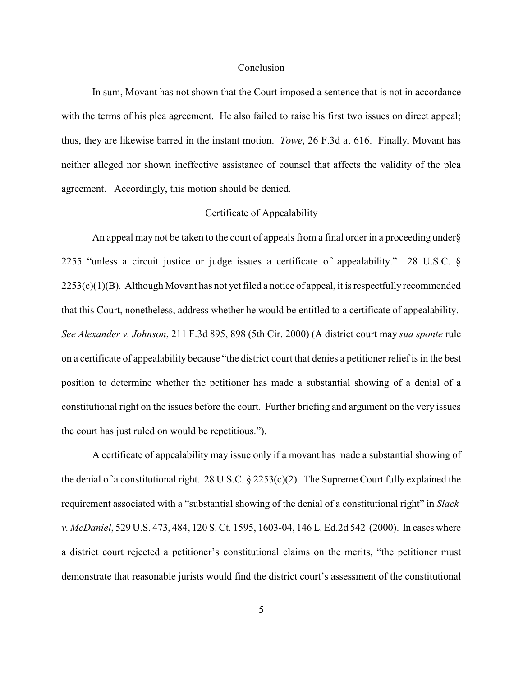#### Conclusion

In sum, Movant has not shown that the Court imposed a sentence that is not in accordance with the terms of his plea agreement. He also failed to raise his first two issues on direct appeal; thus, they are likewise barred in the instant motion. *Towe*, 26 F.3d at 616. Finally, Movant has neither alleged nor shown ineffective assistance of counsel that affects the validity of the plea agreement. Accordingly, this motion should be denied.

### Certificate of Appealability

An appeal may not be taken to the court of appeals from a final order in a proceeding under§ 2255 "unless a circuit justice or judge issues a certificate of appealability." 28 U.S.C. §  $2253(c)(1)(B)$ . Although Movant has not yet filed a notice of appeal, it is respectfully recommended that this Court, nonetheless, address whether he would be entitled to a certificate of appealability. *See Alexander v. Johnson*, 211 F.3d 895, 898 (5th Cir. 2000) (A district court may *sua sponte* rule on a certificate of appealability because "the district court that denies a petitioner relief is in the best position to determine whether the petitioner has made a substantial showing of a denial of a constitutional right on the issues before the court. Further briefing and argument on the very issues the court has just ruled on would be repetitious.").

A certificate of appealability may issue only if a movant has made a substantial showing of the denial of a constitutional right. 28 U.S.C. § 2253(c)(2). The Supreme Court fully explained the requirement associated with a "substantial showing of the denial of a constitutional right" in *Slack v. McDaniel*, 529 U.S. 473, 484, 120 S. Ct. 1595, 1603-04, 146 L. Ed.2d 542 (2000). In cases where a district court rejected a petitioner's constitutional claims on the merits, "the petitioner must demonstrate that reasonable jurists would find the district court's assessment of the constitutional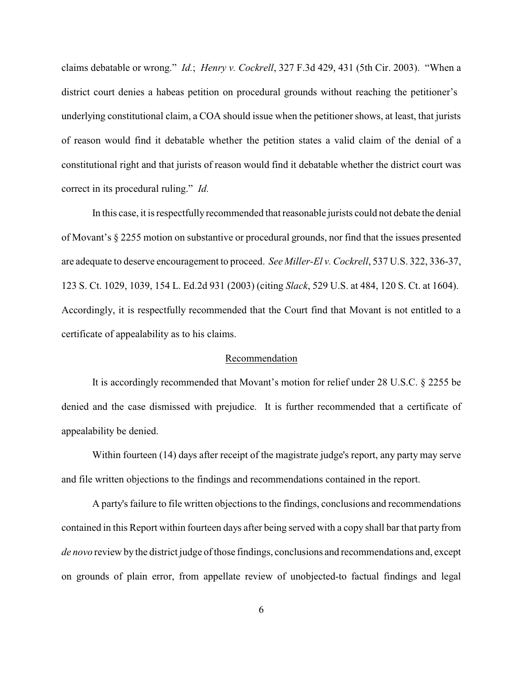claims debatable or wrong." *Id.*; *Henry v. Cockrell*, 327 F.3d 429, 431 (5th Cir. 2003). "When a district court denies a habeas petition on procedural grounds without reaching the petitioner's underlying constitutional claim, a COA should issue when the petitioner shows, at least, that jurists of reason would find it debatable whether the petition states a valid claim of the denial of a constitutional right and that jurists of reason would find it debatable whether the district court was correct in its procedural ruling." *Id.*

In this case, it is respectfully recommended that reasonable jurists could not debate the denial of Movant's § 2255 motion on substantive or procedural grounds, nor find that the issues presented are adequate to deserve encouragement to proceed. *See Miller-El v. Cockrell*, 537 U.S. 322, 336-37, 123 S. Ct. 1029, 1039, 154 L. Ed.2d 931 (2003) (citing *Slack*, 529 U.S. at 484, 120 S. Ct. at 1604). Accordingly, it is respectfully recommended that the Court find that Movant is not entitled to a certificate of appealability as to his claims.

#### Recommendation

It is accordingly recommended that Movant's motion for relief under 28 U.S.C. § 2255 be denied and the case dismissed with prejudice. It is further recommended that a certificate of appealability be denied.

Within fourteen (14) days after receipt of the magistrate judge's report, any party may serve and file written objections to the findings and recommendations contained in the report.

A party's failure to file written objections to the findings, conclusions and recommendations contained in this Report within fourteen days after being served with a copy shall bar that party from *de novo* review by the district judge of those findings, conclusions and recommendations and, except on grounds of plain error, from appellate review of unobjected-to factual findings and legal